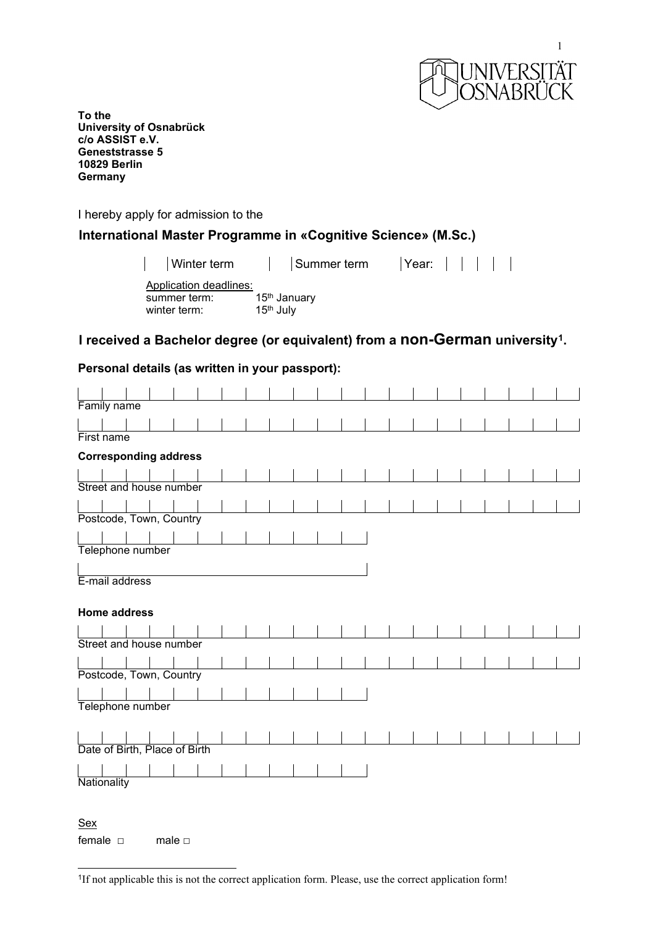

**To the University of Osnabrück c/o ASSIST e.V. Geneststrasse 5 10829 Berlin Germany**

I hereby apply for admission to the

# **International Master Programme in «Cognitive Science» (M.Sc.)**

| Winter term                                            | Summer term                                       | $  \text{Year}:          $ |  |  |
|--------------------------------------------------------|---------------------------------------------------|----------------------------|--|--|
| Application deadlines:<br>summer term:<br>winter term: | 15 <sup>th</sup> January<br>15 <sup>th</sup> July |                            |  |  |

# **I received a Bachelor degree (or equivalent) from a non-German university[1](#page-0-0).**

# **Personal details (as written in your passport):**

| Family name                   |                              |  |                |  |  |  |  |  |  |  |  |  |  |  |  |  |
|-------------------------------|------------------------------|--|----------------|--|--|--|--|--|--|--|--|--|--|--|--|--|
|                               |                              |  |                |  |  |  |  |  |  |  |  |  |  |  |  |  |
| First name                    |                              |  |                |  |  |  |  |  |  |  |  |  |  |  |  |  |
|                               | <b>Corresponding address</b> |  |                |  |  |  |  |  |  |  |  |  |  |  |  |  |
|                               |                              |  |                |  |  |  |  |  |  |  |  |  |  |  |  |  |
| Street and house number       |                              |  |                |  |  |  |  |  |  |  |  |  |  |  |  |  |
|                               |                              |  |                |  |  |  |  |  |  |  |  |  |  |  |  |  |
| Postcode, Town, Country       |                              |  |                |  |  |  |  |  |  |  |  |  |  |  |  |  |
|                               |                              |  |                |  |  |  |  |  |  |  |  |  |  |  |  |  |
| Telephone number              |                              |  |                |  |  |  |  |  |  |  |  |  |  |  |  |  |
|                               |                              |  |                |  |  |  |  |  |  |  |  |  |  |  |  |  |
| E-mail address                |                              |  |                |  |  |  |  |  |  |  |  |  |  |  |  |  |
|                               |                              |  |                |  |  |  |  |  |  |  |  |  |  |  |  |  |
| <b>Home address</b>           |                              |  |                |  |  |  |  |  |  |  |  |  |  |  |  |  |
|                               |                              |  |                |  |  |  |  |  |  |  |  |  |  |  |  |  |
| Street and house number       |                              |  |                |  |  |  |  |  |  |  |  |  |  |  |  |  |
|                               |                              |  |                |  |  |  |  |  |  |  |  |  |  |  |  |  |
| Postcode, Town, Country       |                              |  |                |  |  |  |  |  |  |  |  |  |  |  |  |  |
|                               |                              |  |                |  |  |  |  |  |  |  |  |  |  |  |  |  |
| Telephone number              |                              |  |                |  |  |  |  |  |  |  |  |  |  |  |  |  |
|                               |                              |  |                |  |  |  |  |  |  |  |  |  |  |  |  |  |
|                               |                              |  |                |  |  |  |  |  |  |  |  |  |  |  |  |  |
| Date of Birth, Place of Birth |                              |  |                |  |  |  |  |  |  |  |  |  |  |  |  |  |
|                               |                              |  |                |  |  |  |  |  |  |  |  |  |  |  |  |  |
| Nationality                   |                              |  |                |  |  |  |  |  |  |  |  |  |  |  |  |  |
|                               |                              |  |                |  |  |  |  |  |  |  |  |  |  |  |  |  |
|                               |                              |  |                |  |  |  |  |  |  |  |  |  |  |  |  |  |
| <b>Sex</b>                    |                              |  |                |  |  |  |  |  |  |  |  |  |  |  |  |  |
| female $\square$              |                              |  | male $\square$ |  |  |  |  |  |  |  |  |  |  |  |  |  |

<span id="page-0-0"></span>

| <sup>1</sup> If not applicable this is not the correct application form. Please, use the correct application form! |  |  |
|--------------------------------------------------------------------------------------------------------------------|--|--|
|                                                                                                                    |  |  |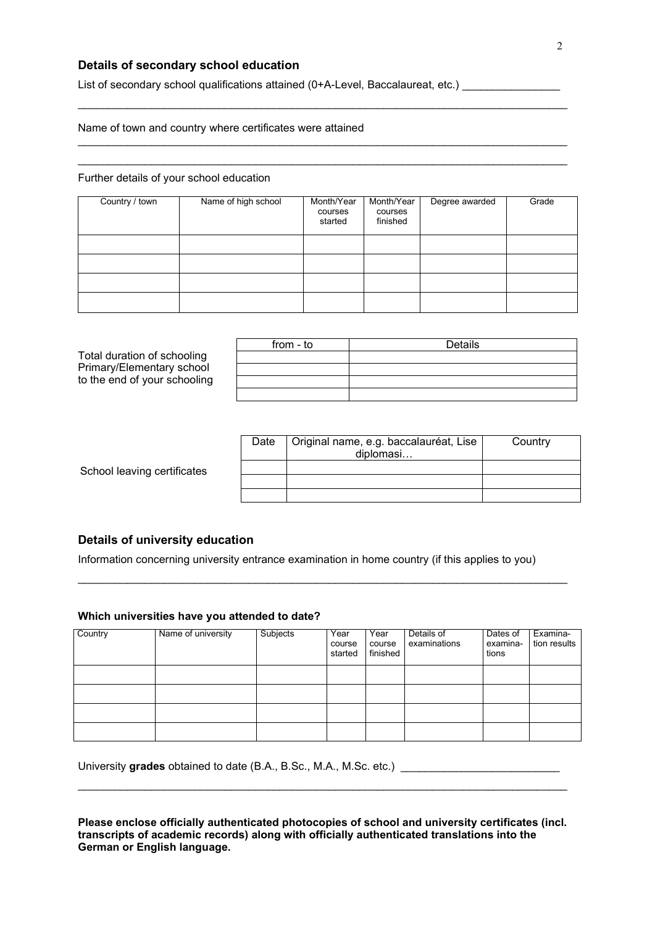## **Details of secondary school education**

List of secondary school qualifications attained (0+A-Level, Baccalaureat, etc.) \_\_\_\_\_\_\_\_\_\_\_\_\_\_\_\_\_

## Name of town and country where certificates were attained

### Further details of your school education

| Country / town | Name of high school | Month/Year<br>courses<br>started | Month/Year<br>courses<br>finished | Degree awarded | Grade |
|----------------|---------------------|----------------------------------|-----------------------------------|----------------|-------|
|                |                     |                                  |                                   |                |       |
|                |                     |                                  |                                   |                |       |
|                |                     |                                  |                                   |                |       |
|                |                     |                                  |                                   |                |       |

\_\_\_\_\_\_\_\_\_\_\_\_\_\_\_\_\_\_\_\_\_\_\_\_\_\_\_\_\_\_\_\_\_\_\_\_\_\_\_\_\_\_\_\_\_\_\_\_\_\_\_\_\_\_\_\_\_\_\_\_\_\_\_\_\_\_\_\_\_\_\_\_\_\_\_\_\_\_\_\_

\_\_\_\_\_\_\_\_\_\_\_\_\_\_\_\_\_\_\_\_\_\_\_\_\_\_\_\_\_\_\_\_\_\_\_\_\_\_\_\_\_\_\_\_\_\_\_\_\_\_\_\_\_\_\_\_\_\_\_\_\_\_\_\_\_\_\_\_\_\_\_\_\_\_\_\_\_\_\_\_ \_\_\_\_\_\_\_\_\_\_\_\_\_\_\_\_\_\_\_\_\_\_\_\_\_\_\_\_\_\_\_\_\_\_\_\_\_\_\_\_\_\_\_\_\_\_\_\_\_\_\_\_\_\_\_\_\_\_\_\_\_\_\_\_\_\_\_\_\_\_\_\_\_\_\_\_\_\_\_\_

|                              | from - to | Details |
|------------------------------|-----------|---------|
| Total duration of schooling  |           |         |
| Primary/Elementary school    |           |         |
| to the end of your schooling |           |         |
|                              |           |         |

|                             | Date | Original name, e.g. baccalauréat, Lise<br>diplomasi | Country |
|-----------------------------|------|-----------------------------------------------------|---------|
| School leaving certificates |      |                                                     |         |
|                             |      |                                                     |         |
|                             |      |                                                     |         |

## **Details of university education**

Information concerning university entrance examination in home country (if this applies to you)

\_\_\_\_\_\_\_\_\_\_\_\_\_\_\_\_\_\_\_\_\_\_\_\_\_\_\_\_\_\_\_\_\_\_\_\_\_\_\_\_\_\_\_\_\_\_\_\_\_\_\_\_\_\_\_\_\_\_\_\_\_\_\_\_\_\_\_\_\_\_\_\_\_\_\_\_\_\_\_\_

#### **Which universities have you attended to date?**

| Country | Name of university | Subjects | Year<br>course<br>started | Year<br>course<br>finished | Details of<br>examinations | Dates of<br>examina-<br>tions | Examina-<br>tion results |
|---------|--------------------|----------|---------------------------|----------------------------|----------------------------|-------------------------------|--------------------------|
|         |                    |          |                           |                            |                            |                               |                          |
|         |                    |          |                           |                            |                            |                               |                          |
|         |                    |          |                           |                            |                            |                               |                          |
|         |                    |          |                           |                            |                            |                               |                          |

University **grades** obtained to date (B.A., B.Sc., M.A., M.Sc. etc.) \_\_\_\_\_\_\_\_\_\_\_\_\_\_\_\_\_\_\_\_\_\_\_\_\_\_

**Please enclose officially authenticated photocopies of school and university certificates (incl. transcripts of academic records) along with officially authenticated translations into the German or English language.**

\_\_\_\_\_\_\_\_\_\_\_\_\_\_\_\_\_\_\_\_\_\_\_\_\_\_\_\_\_\_\_\_\_\_\_\_\_\_\_\_\_\_\_\_\_\_\_\_\_\_\_\_\_\_\_\_\_\_\_\_\_\_\_\_\_\_\_\_\_\_\_\_\_\_\_\_\_\_\_\_